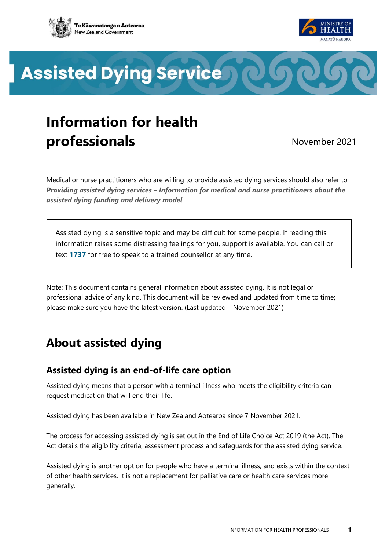



**Assisted Dying Service** 

# **Information for health professionals** November 2021

Medical or nurse practitioners who are willing to provide assisted dying services should also refer to *Providing assisted dying services – [Information for medical and nurse practitioners about the](https://www.health.govt.nz/node/14642)  [assisted dying funding and delivery model](https://www.health.govt.nz/node/14642).*

Assisted dying is a sensitive topic and may be difficult for some people. If reading this information raises some distressing feelings for you, support is available. You can call or text **[1737](https://1737.org.nz/)** for free to speak to a trained counsellor at any time.

Note: This document contains general information about assisted dying. It is not legal or professional advice of any kind. This document will be reviewed and updated from time to time; please make sure you have the latest version. (Last updated – November 2021)

## **About assisted dying**

## **Assisted dying is an end-of-life care option**

Assisted dying means that a person with a terminal illness who meets the eligibility criteria can request medication that will end their life.

Assisted dying has been available in New Zealand Aotearoa since 7 November 2021.

The process for accessing assisted dying is set out in the End of Life Choice Act 2019 (the Act). The Act details the eligibility criteria, assessment process and safeguards for the assisted dying service.

Assisted dying is another option for people who have a terminal illness, and exists within the context of other health services. It is not a replacement for palliative care or health care services more generally.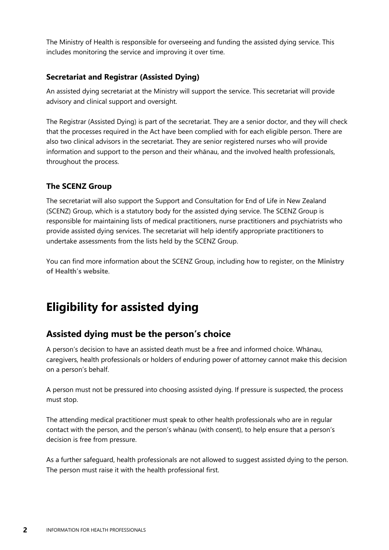The Ministry of Health is responsible for overseeing and funding the assisted dying service. This includes monitoring the service and improving it over time.

#### **Secretariat and Registrar (Assisted Dying)**

An assisted dying secretariat at the Ministry will support the service. This secretariat will provide advisory and clinical support and oversight.

The Registrar (Assisted Dying) is part of the secretariat. They are a senior doctor, and they will check that the processes required in the Act have been complied with for each eligible person. There are also two clinical advisors in the secretariat. They are senior registered nurses who will provide information and support to the person and their whānau, and the involved health professionals, throughout the process.

#### **The SCENZ Group**

The secretariat will also support the Support and Consultation for End of Life in New Zealand (SCENZ) Group, which is a statutory body for the assisted dying service. The SCENZ Group is responsible for maintaining lists of medical practitioners, nurse practitioners and psychiatrists who provide assisted dying services. The secretariat will help identify appropriate practitioners to undertake assessments from the lists held by the SCENZ Group.

You can find more information about the SCENZ Group, including how to register, on the **[Ministry](https://www.health.govt.nz/node/14638)  [of Health](https://www.health.govt.nz/node/14638)'s website**.

## **Eligibility for assisted dying**

## **Assisted dying must be the person's choice**

A person's decision to have an assisted death must be a free and informed choice. Whānau, caregivers, health professionals or holders of enduring power of attorney cannot make this decision on a person's behalf.

A person must not be pressured into choosing assisted dying. If pressure is suspected, the process must stop.

The attending medical practitioner must speak to other health professionals who are in regular contact with the person, and the person's whānau (with consent), to help ensure that a person's decision is free from pressure.

As a further safeguard, health professionals are not allowed to suggest assisted dying to the person. The person must raise it with the health professional first.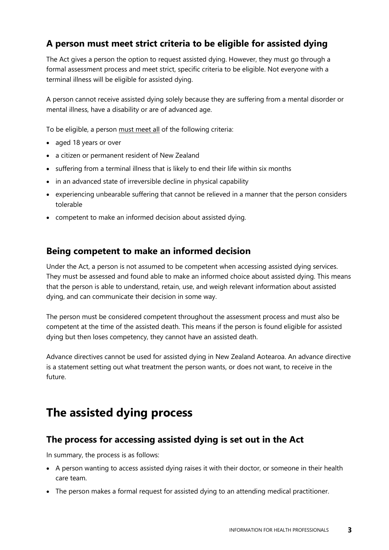## **A person must meet strict criteria to be eligible for assisted dying**

The Act gives a person the option to request assisted dying. However, they must go through a formal assessment process and meet strict, specific criteria to be eligible. Not everyone with a terminal illness will be eligible for assisted dying.

A person cannot receive assisted dying solely because they are suffering from a mental disorder or mental illness, have a disability or are of advanced age.

To be eligible, a person must meet all of the following criteria:

- aged 18 years or over
- a citizen or permanent resident of New Zealand
- suffering from a terminal illness that is likely to end their life within six months
- in an advanced state of irreversible decline in physical capability
- experiencing unbearable suffering that cannot be relieved in a manner that the person considers tolerable
- competent to make an informed decision about assisted dying.

### **Being competent to make an informed decision**

Under the Act, a person is not assumed to be competent when accessing assisted dying services. They must be assessed and found able to make an informed choice about assisted dying. This means that the person is able to understand, retain, use, and weigh relevant information about assisted dying, and can communicate their decision in some way.

The person must be considered competent throughout the assessment process and must also be competent at the time of the assisted death. This means if the person is found eligible for assisted dying but then loses competency, they cannot have an assisted death.

Advance directives cannot be used for assisted dying in New Zealand Aotearoa. An advance directive is a statement setting out what treatment the person wants, or does not want, to receive in the future.

## **The assisted dying process**

### **The process for accessing assisted dying is set out in the Act**

In summary, the process is as follows:

- A person wanting to access assisted dying raises it with their doctor, or someone in their health care team.
- The person makes a formal request for assisted dying to an attending medical practitioner.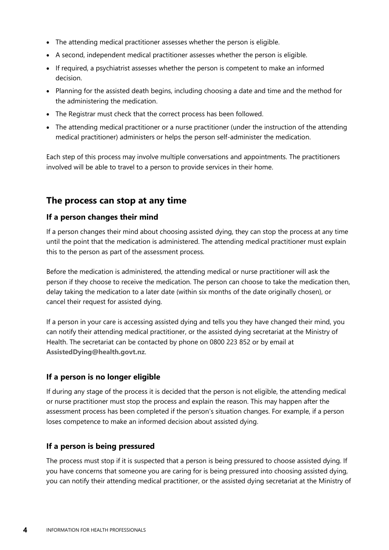- The attending medical practitioner assesses whether the person is eligible.
- A second, independent medical practitioner assesses whether the person is eligible.
- If required, a psychiatrist assesses whether the person is competent to make an informed decision.
- Planning for the assisted death begins, including choosing a date and time and the method for the administering the medication.
- The Registrar must check that the correct process has been followed.
- The attending medical practitioner or a nurse practitioner (under the instruction of the attending medical practitioner) administers or helps the person self-administer the medication.

Each step of this process may involve multiple conversations and appointments. The practitioners involved will be able to travel to a person to provide services in their home.

### **The process can stop at any time**

#### **If a person changes their mind**

If a person changes their mind about choosing assisted dying, they can stop the process at any time until the point that the medication is administered. The attending medical practitioner must explain this to the person as part of the assessment process.

Before the medication is administered, the attending medical or nurse practitioner will ask the person if they choose to receive the medication. The person can choose to take the medication then, delay taking the medication to a later date (within six months of the date originally chosen), or cancel their request for assisted dying.

If a person in your care is accessing assisted dying and tells you they have changed their mind, you can notify their attending medical practitioner, or the assisted dying secretariat at the Ministry of Health. The secretariat can be contacted by phone on 0800 223 852 or by email at **[AssistedDying@health.govt.nz](mailto:AssistedDying@health.govt.nz)**.

#### **If a person is no longer eligible**

If during any stage of the process it is decided that the person is not eligible, the attending medical or nurse practitioner must stop the process and explain the reason. This may happen after the assessment process has been completed if the person's situation changes. For example, if a person loses competence to make an informed decision about assisted dying.

#### **If a person is being pressured**

The process must stop if it is suspected that a person is being pressured to choose assisted dying. If you have concerns that someone you are caring for is being pressured into choosing assisted dying, you can notify their attending medical practitioner, or the assisted dying secretariat at the Ministry of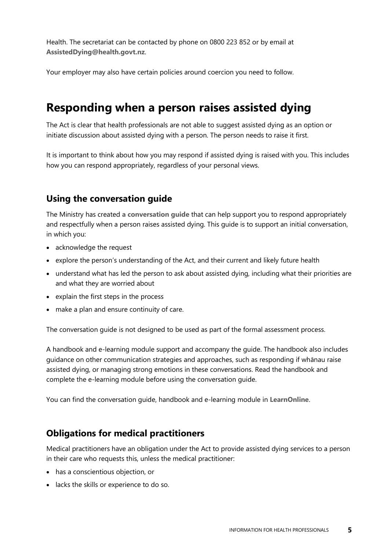Health. The secretariat can be contacted by phone on 0800 223 852 or by email at **[AssistedDying@health.govt.nz](mailto:AssistedDying@health.govt.nz)**.

Your employer may also have certain policies around coercion you need to follow.

## **Responding when a person raises assisted dying**

The Act is clear that health professionals are not able to suggest assisted dying as an option or initiate discussion about assisted dying with a person. The person needs to raise it first.

It is important to think about how you may respond if assisted dying is raised with you. This includes how you can respond appropriately, regardless of your personal views.

### **Using the conversation guide**

The Ministry has created **[a conversation guide](https://www.health.govt.nz/node/14648)** that can help support you to respond appropriately and respectfully when a person raises assisted dying. This guide is to support an initial conversation, in which you:

- acknowledge the request
- explore the person's understanding of the Act, and their current and likely future health
- understand what has led the person to ask about assisted dying, including what their priorities are and what they are worried about
- explain the first steps in the process
- make a plan and ensure continuity of care.

The conversation guide is not designed to be used as part of the formal assessment process.

A handbook and e-learning module support and accompany the guide. The handbook also includes guidance on other communication strategies and approaches, such as responding if whānau raise assisted dying, or managing strong emotions in these conversations. Read the handbook and complete the e-learning module before using the conversation guide.

You can find the conversation guide, handbook and e-learning module in **[LearnOnline](https://learnonline.health.nz/course/view.php?id=495)**.

### **Obligations for medical practitioners**

Medical practitioners have an obligation under the Act to provide assisted dying services to a person in their care who requests this, unless the medical practitioner:

- has a conscientious objection, or
- lacks the skills or experience to do so.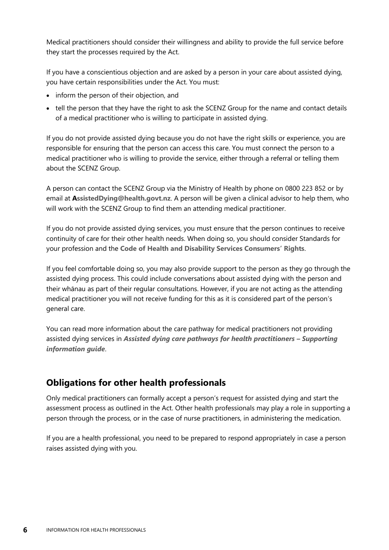Medical practitioners should consider their willingness and ability to provide the full service before they start the processes required by the Act.

If you have a conscientious objection and are asked by a person in your care about assisted dying, you have certain responsibilities under the Act. You must:

- inform the person of their objection, and
- tell the person that they have the right to ask the SCENZ Group for the name and contact details of a medical practitioner who is willing to participate in assisted dying.

If you do not provide assisted dying because you do not have the right skills or experience, you are responsible for ensuring that the person can access this care. You must connect the person to a medical practitioner who is willing to provide the service, either through a referral or telling them about the SCENZ Group.

A person can contact the SCENZ Group via the Ministry of Health by phone on 0800 223 852 or by email at **[AssistedDying@health.govt.nz](mailto:ssistedDying@health.govt.nz)**. A person will be given a clinical advisor to help them, who will work with the SCENZ Group to find them an attending medical practitioner.

If you do not provide assisted dying services, you must ensure that the person continues to receive continuity of care for their other health needs. When doing so, you should consider Standards for your profession and the **[Code of Health and Disability Services Consumers](https://www.hdc.org.nz/your-rights/about-the-code/code-of-health-and-disability-services-consumers-rights/)' Rights**.

If you feel comfortable doing so, you may also provide support to the person as they go through the assisted dying process. This could include conversations about assisted dying with the person and their whānau as part of their regular consultations. However, if you are not acting as the attending medical practitioner you will not receive funding for this as it is considered part of the person's general care.

You can read more information about the care pathway for medical practitioners not providing assisted dying services in *[Assisted dying care pathways for health practitioners](https://www.health.govt.nz/node/14648) - Supporting [information guide](https://www.health.govt.nz/node/14648)*.

## **Obligations for other health professionals**

Only medical practitioners can formally accept a person's request for assisted dying and start the assessment process as outlined in the Act. Other health professionals may play a role in supporting a person through the process, or in the case of nurse practitioners, in administering the medication.

If you are a health professional, you need to be prepared to respond appropriately in case a person raises assisted dying with you.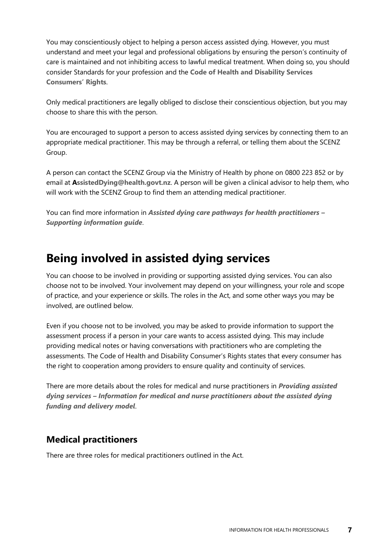You may conscientiously object to helping a person access assisted dying. However, you must understand and meet your legal and professional obligations by ensuring the person's continuity of care is maintained and not inhibiting access to lawful medical treatment. When doing so, you should consider Standards for your profession and the **[Code of Health and Disability Services](https://www.hdc.org.nz/your-rights/about-the-code/code-of-health-and-disability-services-consumers-rights/)  [Consumers](https://www.hdc.org.nz/your-rights/about-the-code/code-of-health-and-disability-services-consumers-rights/)' Rights**.

Only medical practitioners are legally obliged to disclose their conscientious objection, but you may choose to share this with the person.

You are encouraged to support a person to access assisted dying services by connecting them to an appropriate medical practitioner. This may be through a referral, or telling them about the SCENZ Group.

A person can contact the SCENZ Group via the Ministry of Health by phone on 0800 223 852 or by email at **[AssistedDying@health.govt.nz](mailto:ssistedDying@health.govt.nz)**. A person will be given a clinical advisor to help them, who will work with the SCENZ Group to find them an attending medical practitioner.

You can find more information in *[Assisted dying care pathways for health practitioners](https://www.health.govt.nz/node/14648) – [Supporting information guide](https://www.health.govt.nz/node/14648)*.

## **Being involved in assisted dying services**

You can choose to be involved in providing or supporting assisted dying services. You can also choose not to be involved. Your involvement may depend on your willingness, your role and scope of practice, and your experience or skills. The roles in the Act, and some other ways you may be involved, are outlined below.

Even if you choose not to be involved, you may be asked to provide information to support the assessment process if a person in your care wants to access assisted dying. This may include providing medical notes or having conversations with practitioners who are completing the assessments. The Code of Health and Disability Consumer's Rights states that every consumer has the right to cooperation among providers to ensure quality and continuity of services.

There are more details about the roles for medical and nurse practitioners in *[Providing assisted](https://www.health.govt.nz/node/14642)  dying services – [Information for medical and nurse practitioners about the assisted dying](https://www.health.govt.nz/node/14642)  [funding and delivery model](https://www.health.govt.nz/node/14642)*.

## **Medical practitioners**

There are three roles for medical practitioners outlined in the Act.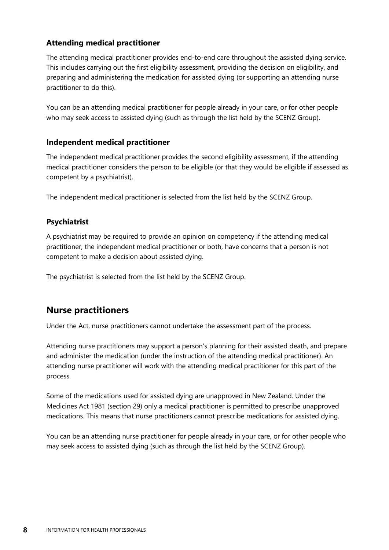#### **Attending medical practitioner**

The attending medical practitioner provides end-to-end care throughout the assisted dying service. This includes carrying out the first eligibility assessment, providing the decision on eligibility, and preparing and administering the medication for assisted dying (or supporting an attending nurse practitioner to do this).

You can be an attending medical practitioner for people already in your care, or for other people who may seek access to assisted dying (such as through the list held by the SCENZ Group).

#### **Independent medical practitioner**

The independent medical practitioner provides the second eligibility assessment, if the attending medical practitioner considers the person to be eligible (or that they would be eligible if assessed as competent by a psychiatrist).

The independent medical practitioner is selected from the list held by the SCENZ Group.

#### **Psychiatrist**

A psychiatrist may be required to provide an opinion on competency if the attending medical practitioner, the independent medical practitioner or both, have concerns that a person is not competent to make a decision about assisted dying.

The psychiatrist is selected from the list held by the SCENZ Group.

#### **Nurse practitioners**

Under the Act, nurse practitioners cannot undertake the assessment part of the process.

Attending nurse practitioners may support a person's planning for their assisted death, and prepare and administer the medication (under the instruction of the attending medical practitioner). An attending nurse practitioner will work with the attending medical practitioner for this part of the process.

Some of the medications used for assisted dying are unapproved in New Zealand. Under the Medicines Act 1981 (section 29) only a medical practitioner is permitted to prescribe unapproved medications. This means that nurse practitioners cannot prescribe medications for assisted dying.

You can be an attending nurse practitioner for people already in your care, or for other people who may seek access to assisted dying (such as through the list held by the SCENZ Group).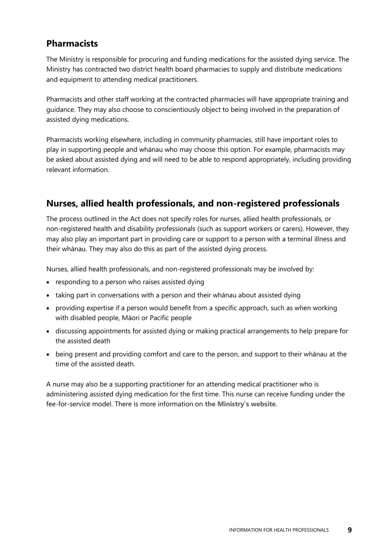### **Pharmacists**

The Ministry is responsible for procuring and funding medications for the assisted dying service. The Ministry has contracted two district health board pharmacies to supply and distribute medications and equipment to attending medical practitioners.

Pharmacists and other staff working at the contracted pharmacies will have appropriate training and guidance. They may also choose to conscientiously object to being involved in the preparation of assisted dying medications.

Pharmacists working elsewhere, including in community pharmacies, still have important roles to play in supporting people and whānau who may choose this option. For example, pharmacists may be asked about assisted dying and will need to be able to respond appropriately, including providing relevant information.

## **Nurses, allied health professionals, and non-registered professionals**

The process outlined in the Act does not specify roles for nurses, allied health professionals, or non-registered health and disability professionals (such as support workers or carers). However, they may also play an important part in providing care or support to a person with a terminal illness and their whānau. They may also do this as part of the assisted dying process.

Nurses, allied health professionals, and non-registered professionals may be involved by:

- responding to a person who raises assisted dying
- taking part in conversations with a person and their whānau about assisted dying
- providing expertise if a person would benefit from a specific approach, such as when working with disabled people, Māori or Pacific people
- discussing appointments for assisted dying or making practical arrangements to help prepare for the assisted death
- being present and providing comfort and care to the person, and support to their whānau at the time of the assisted death.

A nurse may also be a supporting practitioner for an attending medical practitioner who is administering assisted dying medication for the first time. This nurse can receive funding under the fee-for-service model. There is more information on **[the Ministry](https://www.health.govt.nz/node/14651)'s website**.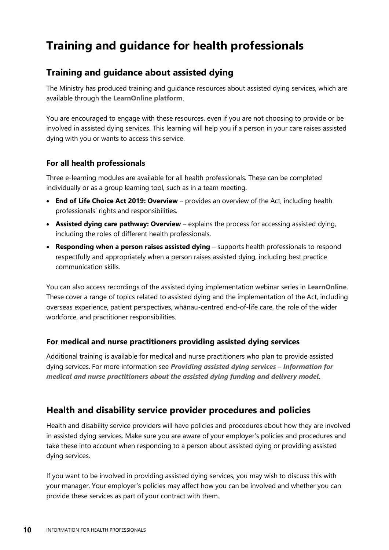## **Training and guidance for health professionals**

### **Training and guidance about assisted dying**

The Ministry has produced training and guidance resources about assisted dying services, which are available through **[the LearnOnline platform](https://learnonline.health.nz/course/view.php?id=470)**.

You are encouraged to engage with these resources, even if you are not choosing to provide or be involved in assisted dying services. This learning will help you if a person in your care raises assisted dying with you or wants to access this service.

#### **For all health professionals**

Three e-learning modules are available for all health professionals. These can be completed individually or as a group learning tool, such as in a team meeting.

- **[End of Life Choice Act 2019: Overview](https://learnonline.health.nz/course/view.php?id=444)** provides an overview of the Act, including health professionals' rights and responsibilities.
- **[Assisted dying care pathway: Overview](https://learnonline.health.nz/course/view.php?id=496)** explains the process for accessing assisted dying, including the roles of different health professionals.
- **[Responding when a person raises assisted dying](https://learnonline.health.nz/course/view.php?id=495)** supports health professionals to respond respectfully and appropriately when a person raises assisted dying, including best practice communication skills.

You can also access recordings of the assisted dying implementation webinar series in **[LearnOnline](https://learnonline.health.nz/course/view.php?id=470)**. These cover a range of topics related to assisted dying and the implementation of the Act, including overseas experience, patient perspectives, whānau-centred end-of-life care, the role of the wider workforce, and practitioner responsibilities.

#### **For medical and nurse practitioners providing assisted dying services**

Additional training is available for medical and nurse practitioners who plan to provide assisted dying services. For more information see *[Providing assisted dying services](https://www.health.govt.nz/node/14642) – Information for [medical and nurse practitioners about the assisted dying funding and delivery model](https://www.health.govt.nz/node/14642)*.

### **Health and disability service provider procedures and policies**

Health and disability service providers will have policies and procedures about how they are involved in assisted dying services. Make sure you are aware of your employer's policies and procedures and take these into account when responding to a person about assisted dying or providing assisted dying services.

If you want to be involved in providing assisted dying services, you may wish to discuss this with your manager. Your employer's policies may affect how you can be involved and whether you can provide these services as part of your contract with them.